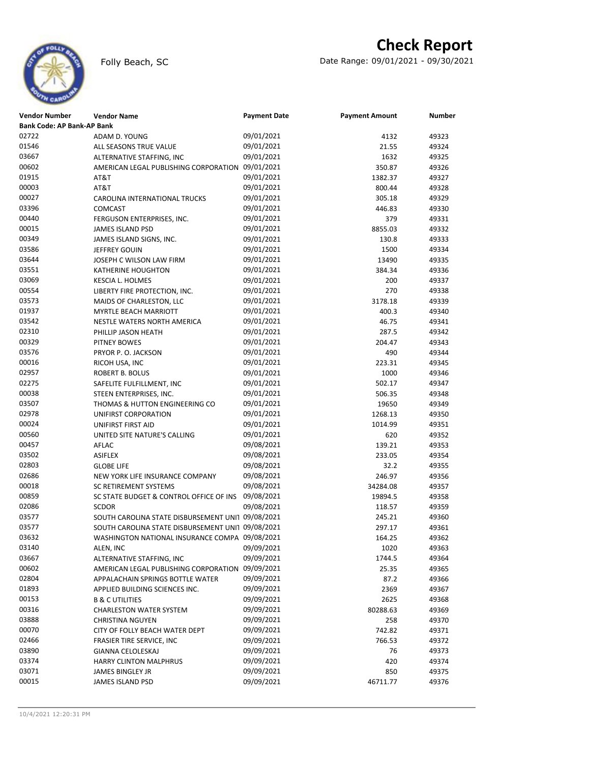

## **Check Report**

Folly Beach, SC Date Range: 09/01/2021 - 09/30/2021

| <b>Vendor Number</b>              | <b>Vendor Name</b>                                | <b>Payment Date</b> | <b>Payment Amount</b> | <b>Number</b> |
|-----------------------------------|---------------------------------------------------|---------------------|-----------------------|---------------|
| <b>Bank Code: AP Bank-AP Bank</b> |                                                   |                     |                       |               |
| 02722                             | ADAM D. YOUNG                                     | 09/01/2021          | 4132                  | 49323         |
| 01546                             | ALL SEASONS TRUE VALUE                            | 09/01/2021          | 21.55                 | 49324         |
| 03667                             | ALTERNATIVE STAFFING, INC                         | 09/01/2021          | 1632                  | 49325         |
| 00602                             | AMERICAN LEGAL PUBLISHING CORPORATION 09/01/2021  |                     | 350.87                | 49326         |
| 01915                             | AT&T                                              | 09/01/2021          | 1382.37               | 49327         |
| 00003                             | AT&T                                              | 09/01/2021          | 800.44                | 49328         |
| 00027                             | CAROLINA INTERNATIONAL TRUCKS                     | 09/01/2021          | 305.18                | 49329         |
| 03396                             | <b>COMCAST</b>                                    | 09/01/2021          | 446.83                | 49330         |
| 00440                             | FERGUSON ENTERPRISES, INC.                        | 09/01/2021          | 379                   | 49331         |
| 00015                             | <b>JAMES ISLAND PSD</b>                           | 09/01/2021          | 8855.03               | 49332         |
| 00349                             | JAMES ISLAND SIGNS, INC.                          | 09/01/2021          | 130.8                 | 49333         |
| 03586                             | JEFFREY GOUIN                                     | 09/01/2021          | 1500                  | 49334         |
| 03644                             | JOSEPH C WILSON LAW FIRM                          | 09/01/2021          | 13490                 | 49335         |
| 03551                             | KATHERINE HOUGHTON                                | 09/01/2021          | 384.34                | 49336         |
| 03069                             | KESCIA L. HOLMES                                  | 09/01/2021          | 200                   | 49337         |
| 00554                             | LIBERTY FIRE PROTECTION, INC.                     | 09/01/2021          | 270                   | 49338         |
| 03573                             | MAIDS OF CHARLESTON, LLC                          | 09/01/2021          | 3178.18               | 49339         |
| 01937                             | MYRTLE BEACH MARRIOTT                             | 09/01/2021          | 400.3                 | 49340         |
| 03542                             | <b>NESTLE WATERS NORTH AMERICA</b>                | 09/01/2021          | 46.75                 | 49341         |
| 02310                             | PHILLIP JASON HEATH                               | 09/01/2021          | 287.5                 | 49342         |
| 00329                             | PITNEY BOWES                                      | 09/01/2021          | 204.47                | 49343         |
| 03576                             | PRYOR P. O. JACKSON                               | 09/01/2021          | 490                   | 49344         |
| 00016                             | RICOH USA, INC                                    | 09/01/2021          | 223.31                | 49345         |
| 02957                             | ROBERT B. BOLUS                                   | 09/01/2021          | 1000                  | 49346         |
| 02275                             | SAFELITE FULFILLMENT, INC                         | 09/01/2021          | 502.17                | 49347         |
| 00038                             | STEEN ENTERPRISES, INC.                           | 09/01/2021          | 506.35                | 49348         |
| 03507                             | THOMAS & HUTTON ENGINEERING CO                    | 09/01/2021          | 19650                 | 49349         |
| 02978                             | UNIFIRST CORPORATION                              | 09/01/2021          | 1268.13               | 49350         |
| 00024                             | UNIFIRST FIRST AID                                | 09/01/2021          | 1014.99               | 49351         |
| 00560                             | UNITED SITE NATURE'S CALLING                      | 09/01/2021          | 620                   | 49352         |
| 00457                             | AFLAC                                             | 09/08/2021          | 139.21                | 49353         |
| 03502                             | <b>ASIFLEX</b>                                    | 09/08/2021          | 233.05                | 49354         |
| 02803                             | <b>GLOBE LIFE</b>                                 | 09/08/2021          | 32.2                  | 49355         |
| 02686                             | NEW YORK LIFE INSURANCE COMPANY                   | 09/08/2021          | 246.97                | 49356         |
| 00018                             | <b>SC RETIREMENT SYSTEMS</b>                      | 09/08/2021          | 34284.08              | 49357         |
| 00859                             | SC STATE BUDGET & CONTROL OFFICE OF INS           | 09/08/2021          | 19894.5               | 49358         |
| 02086                             | <b>SCDOR</b>                                      | 09/08/2021          | 118.57                | 49359         |
| 03577                             | SOUTH CAROLINA STATE DISBURSEMENT UNI1 09/08/2021 |                     | 245.21                | 49360         |
| 03577                             | SOUTH CAROLINA STATE DISBURSEMENT UNI1 09/08/2021 |                     | 297.17                | 49361         |
| 03632                             | WASHINGTON NATIONAL INSURANCE COMPA 09/08/2021    |                     | 164.25                | 49362         |
| 03140                             | ALEN, INC                                         | 09/09/2021          | 1020                  | 49363         |
| 03667                             | ALTERNATIVE STAFFING, INC                         | 09/09/2021          | 1744.5                | 49364         |
| 00602                             | AMERICAN LEGAL PUBLISHING CORPORATION 09/09/2021  |                     | 25.35                 | 49365         |
| 02804                             | APPALACHAIN SPRINGS BOTTLE WATER                  | 09/09/2021          | 87.2                  | 49366         |
| 01893                             | APPLIED BUILDING SCIENCES INC.                    | 09/09/2021          | 2369                  | 49367         |
| 00153                             | <b>B &amp; C UTILITIES</b>                        | 09/09/2021          | 2625                  | 49368         |
| 00316                             | <b>CHARLESTON WATER SYSTEM</b>                    | 09/09/2021          | 80288.63              | 49369         |
| 03888                             | <b>CHRISTINA NGUYEN</b>                           | 09/09/2021          | 258                   | 49370         |
| 00070                             | CITY OF FOLLY BEACH WATER DEPT                    | 09/09/2021          | 742.82                | 49371         |
| 02466                             | FRASIER TIRE SERVICE, INC                         | 09/09/2021          | 766.53                | 49372         |
| 03890                             | GIANNA CELOLESKAJ                                 | 09/09/2021          | 76                    | 49373         |
| 03374                             | HARRY CLINTON MALPHRUS                            | 09/09/2021          | 420                   | 49374         |
| 03071                             | JAMES BINGLEY JR                                  | 09/09/2021          | 850                   | 49375         |
| 00015                             | <b>JAMES ISLAND PSD</b>                           | 09/09/2021          | 46711.77              | 49376         |
|                                   |                                                   |                     |                       |               |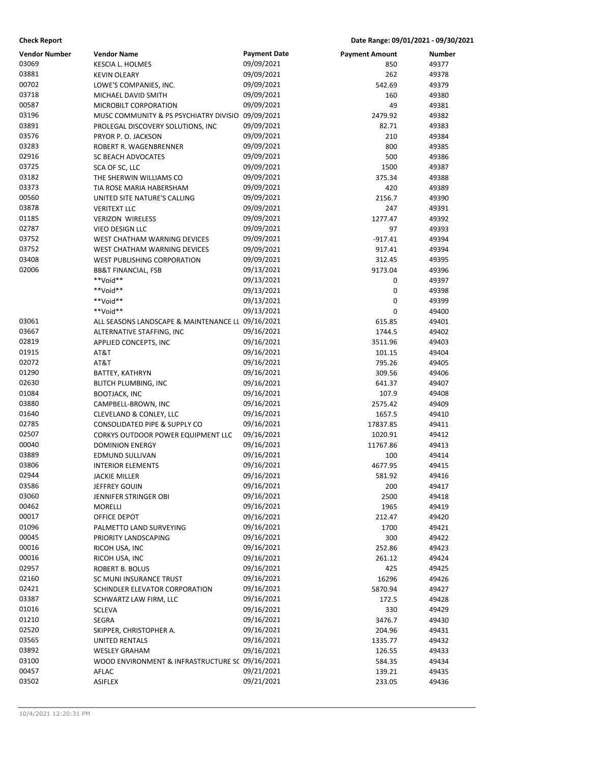| <b>Check Report</b>  |                                                   |                     | Date Range: 09/01/2021 - 09/30/2021 |        |
|----------------------|---------------------------------------------------|---------------------|-------------------------------------|--------|
| <b>Vendor Number</b> | <b>Vendor Name</b>                                | <b>Payment Date</b> | <b>Payment Amount</b>               | Number |
| 03069                | KESCIA L. HOLMES                                  | 09/09/2021          | 850                                 | 49377  |
| 03881                | <b>KEVIN OLEARY</b>                               | 09/09/2021          | 262                                 | 49378  |
| 00702                | LOWE'S COMPANIES, INC.                            | 09/09/2021          | 542.69                              | 49379  |
| 03718                | MICHAEL DAVID SMITH                               | 09/09/2021          | 160                                 | 49380  |
| 00587                | MICROBILT CORPORATION                             | 09/09/2021          | 49                                  | 49381  |
| 03196                | MUSC COMMUNITY & PS PSYCHIATRY DIVISIO 09/09/2021 |                     | 2479.92                             | 49382  |
| 03891                | PROLEGAL DISCOVERY SOLUTIONS, INC                 | 09/09/2021          | 82.71                               | 49383  |
| 03576                | PRYOR P.O. JACKSON                                | 09/09/2021          | 210                                 | 49384  |
| 03283                | ROBERT R. WAGENBRENNER                            | 09/09/2021          | 800                                 | 49385  |
| 02916                | SC BEACH ADVOCATES                                | 09/09/2021          | 500                                 | 49386  |
| 03725                | SCA OF SC, LLC                                    | 09/09/2021          | 1500                                | 49387  |
| 03182                | THE SHERWIN WILLIAMS CO                           | 09/09/2021          | 375.34                              | 49388  |
| 03373                | TIA ROSE MARIA HABERSHAM                          | 09/09/2021          | 420                                 | 49389  |
| 00560                | UNITED SITE NATURE'S CALLING                      | 09/09/2021          | 2156.7                              | 49390  |
| 03878                | <b>VERITEXT LLC</b>                               | 09/09/2021          | 247                                 | 49391  |
| 01185                | <b>VERIZON WIRELESS</b>                           | 09/09/2021          | 1277.47                             | 49392  |
| 02787                | VIEO DESIGN LLC                                   | 09/09/2021          | 97                                  | 49393  |
| 03752                | WEST CHATHAM WARNING DEVICES                      | 09/09/2021          | $-917.41$                           | 49394  |
| 03752                | WEST CHATHAM WARNING DEVICES                      | 09/09/2021          | 917.41                              | 49394  |
| 03408                | <b>WEST PUBLISHING CORPORATION</b>                | 09/09/2021          | 312.45                              | 49395  |
| 02006                | <b>BB&amp;T FINANCIAL, FSB</b>                    | 09/13/2021          | 9173.04                             | 49396  |
|                      | **Void**                                          | 09/13/2021          | 0                                   | 49397  |
|                      | **Void**                                          | 09/13/2021          | 0                                   | 49398  |
|                      | **Void**                                          | 09/13/2021          | 0                                   | 49399  |
|                      | **Void**                                          | 09/13/2021          | 0                                   | 49400  |
| 03061                | ALL SEASONS LANDSCAPE & MAINTENANCE LL 09/16/2021 |                     | 615.85                              | 49401  |
| 03667                | ALTERNATIVE STAFFING, INC                         | 09/16/2021          | 1744.5                              | 49402  |
| 02819                | APPLIED CONCEPTS, INC                             | 09/16/2021          | 3511.96                             | 49403  |
| 01915                | AT&T                                              | 09/16/2021          | 101.15                              | 49404  |
| 02072                | AT&T                                              | 09/16/2021          | 795.26                              | 49405  |
| 01290                | BATTEY, KATHRYN                                   | 09/16/2021          | 309.56                              | 49406  |
| 02630                | BLITCH PLUMBING, INC                              | 09/16/2021          | 641.37                              | 49407  |
| 01084                | <b>BOOTJACK, INC</b>                              | 09/16/2021          | 107.9                               | 49408  |
| 03880                | CAMPBELL-BROWN, INC                               | 09/16/2021          | 2575.42                             | 49409  |
| 01640                | CLEVELAND & CONLEY, LLC                           | 09/16/2021          | 1657.5                              | 49410  |
| 02785                | CONSOLIDATED PIPE & SUPPLY CO                     | 09/16/2021          | 17837.85                            | 49411  |
| 02507                | CORKYS OUTDOOR POWER EQUIPMENT LLC                | 09/16/2021          | 1020.91                             | 49412  |
| 00040                | <b>DOMINION ENERGY</b>                            | 09/16/2021          | 11767.86                            | 49413  |
| 03889                | <b>EDMUND SULLIVAN</b>                            | 09/16/2021          | 100                                 | 49414  |
| 03806                | <b>INTERIOR ELEMENTS</b>                          | 09/16/2021          | 4677.95                             | 49415  |
| 02944                | JACKIE MILLER                                     | 09/16/2021          | 581.92                              | 49416  |
| 03586                | JEFFREY GOUIN                                     | 09/16/2021          | 200                                 | 49417  |
| 03060                | JENNIFER STRINGER OBI                             | 09/16/2021          | 2500                                | 49418  |
| 00462                | MORELLI                                           | 09/16/2021          | 1965                                | 49419  |
| 00017                | OFFICE DEPOT                                      | 09/16/2021          | 212.47                              | 49420  |
| 01096                | PALMETTO LAND SURVEYING                           | 09/16/2021          | 1700                                | 49421  |
| 00045                | PRIORITY LANDSCAPING                              | 09/16/2021          | 300                                 | 49422  |
| 00016                | RICOH USA, INC                                    | 09/16/2021          | 252.86                              | 49423  |
| 00016                | RICOH USA, INC                                    | 09/16/2021          | 261.12                              | 49424  |
| 02957                | ROBERT B. BOLUS                                   | 09/16/2021          | 425                                 | 49425  |
| 02160                | SC MUNI INSURANCE TRUST                           | 09/16/2021          | 16296                               | 49426  |
| 02421                | SCHINDLER ELEVATOR CORPORATION                    | 09/16/2021          | 5870.94                             | 49427  |
| 03387                | SCHWARTZ LAW FIRM, LLC                            | 09/16/2021          | 172.5                               | 49428  |
| 01016                | <b>SCLEVA</b>                                     | 09/16/2021          | 330                                 | 49429  |
| 01210                | SEGRA                                             | 09/16/2021          | 3476.7                              | 49430  |
| 02520                | SKIPPER, CHRISTOPHER A.                           | 09/16/2021          | 204.96                              | 49431  |
| 03565                | UNITED RENTALS                                    | 09/16/2021          | 1335.77                             | 49432  |
| 03892                | <b>WESLEY GRAHAM</b>                              | 09/16/2021          | 126.55                              | 49433  |
| 03100                | WOOD ENVIRONMENT & INFRASTRUCTURE S( 09/16/2021   |                     | 584.35                              | 49434  |
| 00457                | AFLAC                                             | 09/21/2021          | 139.21                              | 49435  |
| 03502                | <b>ASIFLEX</b>                                    | 09/21/2021          | 233.05                              | 49436  |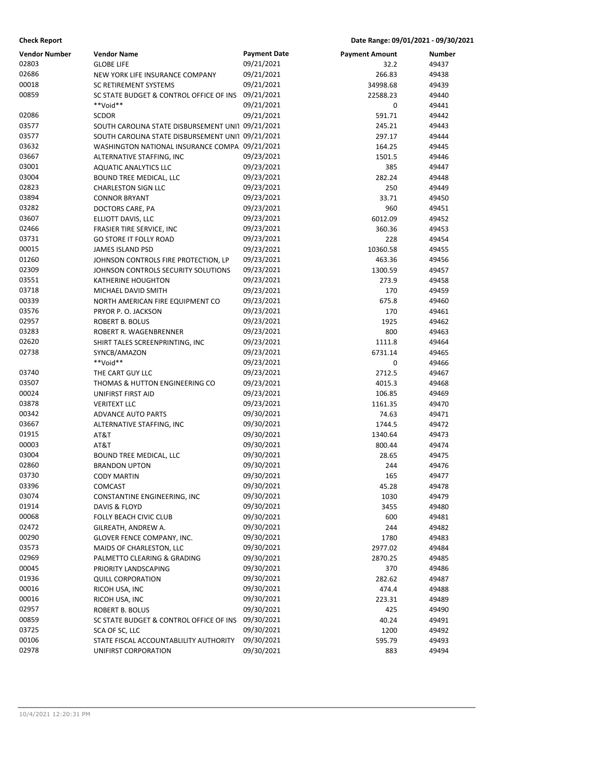**Check Report Date Range: 09/01/2021 - 09/30/2021**

| <b>Vendor Number</b> | <b>Vendor Name</b>                                | <b>Payment Date</b> | <b>Payment Amount</b> | Number |
|----------------------|---------------------------------------------------|---------------------|-----------------------|--------|
| 02803                | <b>GLOBE LIFE</b>                                 | 09/21/2021          | 32.2                  | 49437  |
| 02686                | NEW YORK LIFE INSURANCE COMPANY                   | 09/21/2021          | 266.83                | 49438  |
| 00018                | <b>SC RETIREMENT SYSTEMS</b>                      | 09/21/2021          | 34998.68              | 49439  |
| 00859                | SC STATE BUDGET & CONTROL OFFICE OF INS           | 09/21/2021          | 22588.23              | 49440  |
|                      | **Void**                                          | 09/21/2021          | 0                     | 49441  |
| 02086                | <b>SCDOR</b>                                      | 09/21/2021          | 591.71                | 49442  |
| 03577                | SOUTH CAROLINA STATE DISBURSEMENT UNI1 09/21/2021 |                     | 245.21                | 49443  |
| 03577                | SOUTH CAROLINA STATE DISBURSEMENT UNI1 09/21/2021 |                     | 297.17                | 49444  |
| 03632                | WASHINGTON NATIONAL INSURANCE COMPA 09/21/2021    |                     | 164.25                | 49445  |
| 03667                | ALTERNATIVE STAFFING, INC                         | 09/23/2021          | 1501.5                | 49446  |
| 03001                | <b>AQUATIC ANALYTICS LLC</b>                      | 09/23/2021          | 385                   | 49447  |
| 03004                | BOUND TREE MEDICAL, LLC                           | 09/23/2021          | 282.24                | 49448  |
| 02823                | <b>CHARLESTON SIGN LLC</b>                        | 09/23/2021          | 250                   | 49449  |
| 03894                | <b>CONNOR BRYANT</b>                              | 09/23/2021          | 33.71                 | 49450  |
| 03282                | DOCTORS CARE, PA                                  | 09/23/2021          | 960                   | 49451  |
| 03607                | ELLIOTT DAVIS, LLC                                | 09/23/2021          | 6012.09               | 49452  |
| 02466                | FRASIER TIRE SERVICE, INC                         | 09/23/2021          | 360.36                | 49453  |
| 03731                | <b>GO STORE IT FOLLY ROAD</b>                     | 09/23/2021          | 228                   | 49454  |
| 00015                | <b>JAMES ISLAND PSD</b>                           | 09/23/2021          | 10360.58              | 49455  |
| 01260                | JOHNSON CONTROLS FIRE PROTECTION, LP              | 09/23/2021          | 463.36                | 49456  |
| 02309                | JOHNSON CONTROLS SECURITY SOLUTIONS               | 09/23/2021          | 1300.59               | 49457  |
| 03551                | <b>KATHERINE HOUGHTON</b>                         | 09/23/2021          | 273.9                 | 49458  |
| 03718                | MICHAEL DAVID SMITH                               | 09/23/2021          | 170                   | 49459  |
| 00339                | NORTH AMERICAN FIRE EQUIPMENT CO                  | 09/23/2021          | 675.8                 | 49460  |
| 03576                | PRYOR P.O. JACKSON                                | 09/23/2021          | 170                   | 49461  |
| 02957                | <b>ROBERT B. BOLUS</b>                            | 09/23/2021          | 1925                  | 49462  |
| 03283                | ROBERT R. WAGENBRENNER                            | 09/23/2021          | 800                   | 49463  |
| 02620                | SHIRT TALES SCREENPRINTING, INC                   | 09/23/2021          | 1111.8                | 49464  |
| 02738                | SYNCB/AMAZON                                      | 09/23/2021          | 6731.14               | 49465  |
|                      | **Void**                                          | 09/23/2021          | 0                     | 49466  |
| 03740                | THE CART GUY LLC                                  | 09/23/2021          | 2712.5                | 49467  |
| 03507                | THOMAS & HUTTON ENGINEERING CO                    | 09/23/2021          | 4015.3                | 49468  |
| 00024                | UNIFIRST FIRST AID                                | 09/23/2021          | 106.85                | 49469  |
| 03878                | <b>VERITEXT LLC</b>                               | 09/23/2021          | 1161.35               | 49470  |
| 00342                | <b>ADVANCE AUTO PARTS</b>                         | 09/30/2021          | 74.63                 | 49471  |
| 03667                | ALTERNATIVE STAFFING, INC                         | 09/30/2021          | 1744.5                | 49472  |
| 01915                | AT&T                                              | 09/30/2021          | 1340.64               | 49473  |
| 00003                | AT&T                                              | 09/30/2021          | 800.44                | 49474  |
| 03004                | <b>BOUND TREE MEDICAL, LLC</b>                    | 09/30/2021          | 28.65                 | 49475  |
| 02860                | <b>BRANDON UPTON</b>                              | 09/30/2021          | 244                   | 49476  |
| 03730                | <b>CODY MARTIN</b>                                | 09/30/2021          | 165                   | 49477  |
| 03396                | COMCAST                                           | 09/30/2021          | 45.28                 | 49478  |
| 03074                | CONSTANTINE ENGINEERING, INC                      | 09/30/2021          | 1030                  | 49479  |
| 01914                | DAVIS & FLOYD                                     | 09/30/2021          | 3455                  | 49480  |
| 00068                | FOLLY BEACH CIVIC CLUB                            | 09/30/2021          | 600                   | 49481  |
| 02472                | GILREATH, ANDREW A.                               | 09/30/2021          | 244                   | 49482  |
| 00290                | GLOVER FENCE COMPANY, INC.                        | 09/30/2021          | 1780                  | 49483  |
| 03573                | MAIDS OF CHARLESTON, LLC                          | 09/30/2021          | 2977.02               | 49484  |
| 02969                | PALMETTO CLEARING & GRADING                       | 09/30/2021          | 2870.25               | 49485  |
| 00045                | PRIORITY LANDSCAPING                              | 09/30/2021          | 370                   | 49486  |
| 01936                | <b>QUILL CORPORATION</b>                          | 09/30/2021          | 282.62                | 49487  |
| 00016                | RICOH USA, INC                                    | 09/30/2021          | 474.4                 | 49488  |
| 00016                | RICOH USA, INC                                    | 09/30/2021          | 223.31                | 49489  |
| 02957                | ROBERT B. BOLUS                                   | 09/30/2021          | 425                   | 49490  |
| 00859                | SC STATE BUDGET & CONTROL OFFICE OF INS           | 09/30/2021          | 40.24                 | 49491  |
| 03725                | SCA OF SC, LLC                                    | 09/30/2021          | 1200                  | 49492  |
| 00106                | STATE FISCAL ACCOUNTABLILITY AUTHORITY            | 09/30/2021          | 595.79                | 49493  |
| 02978                | UNIFIRST CORPORATION                              | 09/30/2021          | 883                   | 49494  |
|                      |                                                   |                     |                       |        |